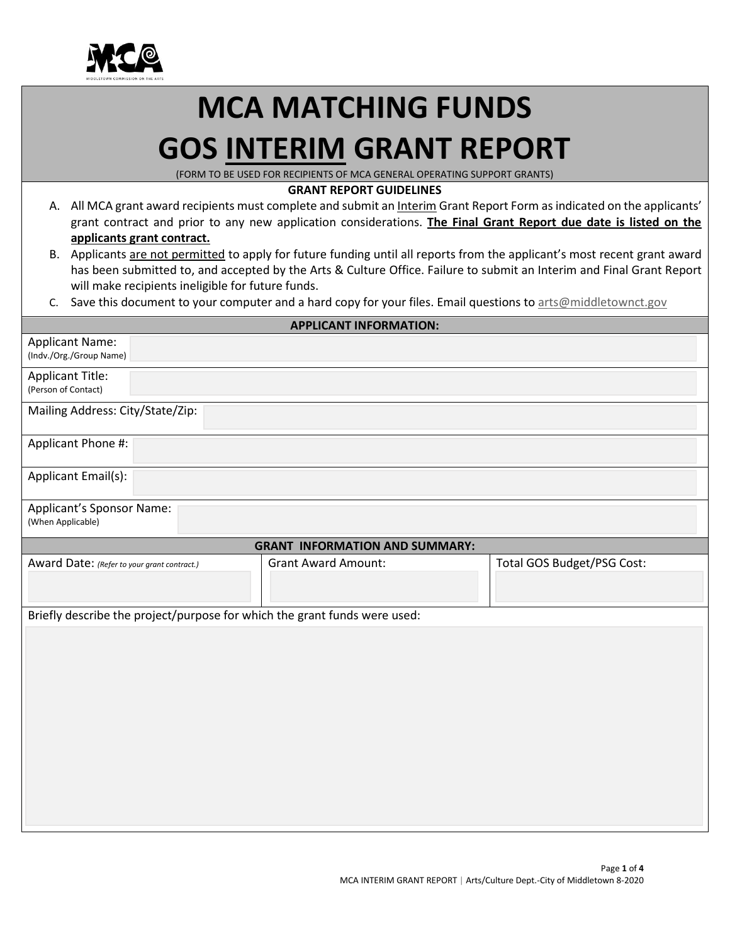

## **MCA MATCHING FUNDS GOS INTERIM GRANT REPORT**

(FORM TO BE USED FOR RECIPIENTS OF MCA GENERAL OPERATING SUPPORT GRANTS)

## **GRANT REPORT GUIDELINES**

- A. All MCA grant award recipients must complete and submit an Interim Grant Report Form as indicated on the applicants' grant contract and prior to any new application considerations. **The Final Grant Report due date is listed on the applicants grant contract.**
- B. Applicants are not permitted to apply for future funding until all reports from the applicant's most recent grant award has been submitted to, and accepted by the Arts & Culture Office. Failure to submit an Interim and Final Grant Report will make recipients ineligible for future funds.
- C. Save this document to your computer and a hard copy for your files. Email questions to arts@middletownct.gov

| <b>APPLICANT INFORMATION:</b>                                             |                            |                            |  |  |
|---------------------------------------------------------------------------|----------------------------|----------------------------|--|--|
| <b>Applicant Name:</b><br>(Indv./Org./Group Name)                         |                            |                            |  |  |
| <b>Applicant Title:</b><br>(Person of Contact)                            |                            |                            |  |  |
| Mailing Address: City/State/Zip:                                          |                            |                            |  |  |
| Applicant Phone #:                                                        |                            |                            |  |  |
| Applicant Email(s):                                                       |                            |                            |  |  |
| Applicant's Sponsor Name:<br>(When Applicable)                            |                            |                            |  |  |
| <b>GRANT INFORMATION AND SUMMARY:</b>                                     |                            |                            |  |  |
| Award Date: (Refer to your grant contract.)                               | <b>Grant Award Amount:</b> | Total GOS Budget/PSG Cost: |  |  |
| Briefly describe the project/purpose for which the grant funds were used: |                            |                            |  |  |
|                                                                           |                            |                            |  |  |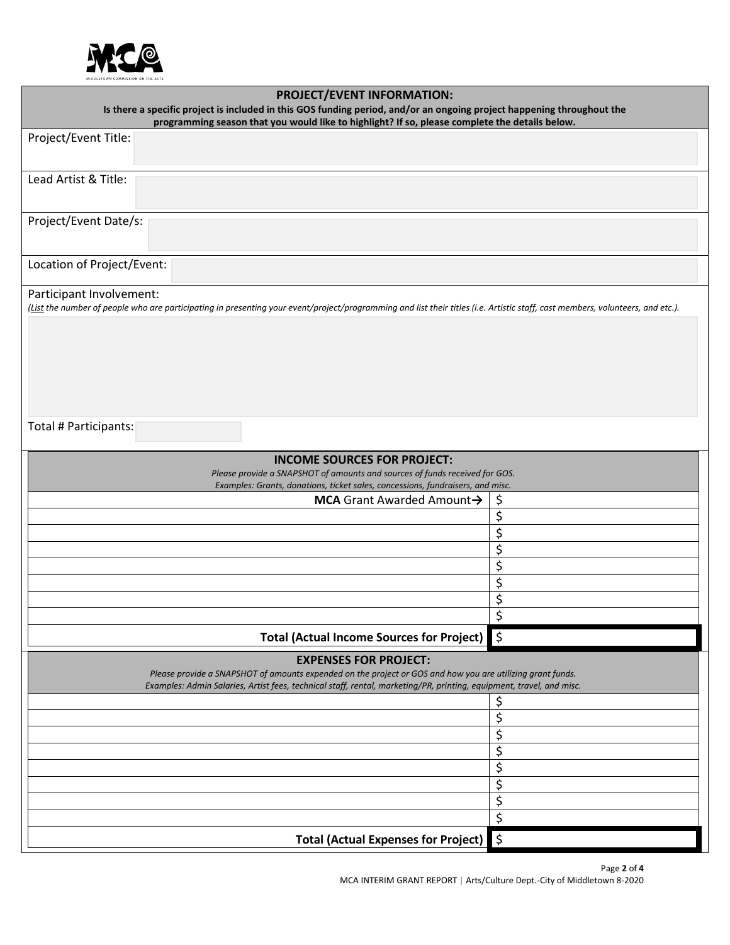

| <b>PROJECT/EVENT INFORMATION:</b>                                                                                                                                                                                                  |                          |  |
|------------------------------------------------------------------------------------------------------------------------------------------------------------------------------------------------------------------------------------|--------------------------|--|
| Is there a specific project is included in this GOS funding period, and/or an ongoing project happening throughout the<br>programming season that you would like to highlight? If so, please complete the details below.           |                          |  |
| Project/Event Title:                                                                                                                                                                                                               |                          |  |
|                                                                                                                                                                                                                                    |                          |  |
| Lead Artist & Title:                                                                                                                                                                                                               |                          |  |
|                                                                                                                                                                                                                                    |                          |  |
|                                                                                                                                                                                                                                    |                          |  |
| Project/Event Date/s:                                                                                                                                                                                                              |                          |  |
|                                                                                                                                                                                                                                    |                          |  |
| Location of Project/Event:                                                                                                                                                                                                         |                          |  |
| Participant Involvement:                                                                                                                                                                                                           |                          |  |
| (List the number of people who are participating in presenting your event/project/programming and list their titles (i.e. Artistic staff, cast members, volunteers, and etc.).                                                     |                          |  |
|                                                                                                                                                                                                                                    |                          |  |
|                                                                                                                                                                                                                                    |                          |  |
|                                                                                                                                                                                                                                    |                          |  |
|                                                                                                                                                                                                                                    |                          |  |
|                                                                                                                                                                                                                                    |                          |  |
| Total # Participants:                                                                                                                                                                                                              |                          |  |
|                                                                                                                                                                                                                                    |                          |  |
| <b>INCOME SOURCES FOR PROJECT:</b>                                                                                                                                                                                                 |                          |  |
| Please provide a SNAPSHOT of amounts and sources of funds received for GOS.                                                                                                                                                        |                          |  |
| Examples: Grants, donations, ticket sales, concessions, fundraisers, and misc.<br>MCA Grant Awarded Amount->                                                                                                                       | \$                       |  |
|                                                                                                                                                                                                                                    | \$                       |  |
|                                                                                                                                                                                                                                    | \$                       |  |
|                                                                                                                                                                                                                                    | $\overline{\mathcal{L}}$ |  |
|                                                                                                                                                                                                                                    | \$                       |  |
|                                                                                                                                                                                                                                    | \$                       |  |
|                                                                                                                                                                                                                                    | \$                       |  |
|                                                                                                                                                                                                                                    | $\overline{\mathsf{S}}$  |  |
| <b>Total (Actual Income Sources for Project)</b>                                                                                                                                                                                   | $\frac{1}{2}$            |  |
| <b>EXPENSES FOR PROJECT:</b>                                                                                                                                                                                                       |                          |  |
| Please provide a SNAPSHOT of amounts expended on the project or GOS and how you are utilizing grant funds.<br>Examples: Admin Salaries, Artist fees, technical staff, rental, marketing/PR, printing, equipment, travel, and misc. |                          |  |
|                                                                                                                                                                                                                                    | \$                       |  |
|                                                                                                                                                                                                                                    | \$                       |  |
|                                                                                                                                                                                                                                    | \$                       |  |
|                                                                                                                                                                                                                                    | \$                       |  |
|                                                                                                                                                                                                                                    | \$                       |  |
|                                                                                                                                                                                                                                    | \$                       |  |
|                                                                                                                                                                                                                                    | \$                       |  |
|                                                                                                                                                                                                                                    | \$                       |  |
| <b>Total (Actual Expenses for Project)</b>                                                                                                                                                                                         | $\frac{1}{2}$            |  |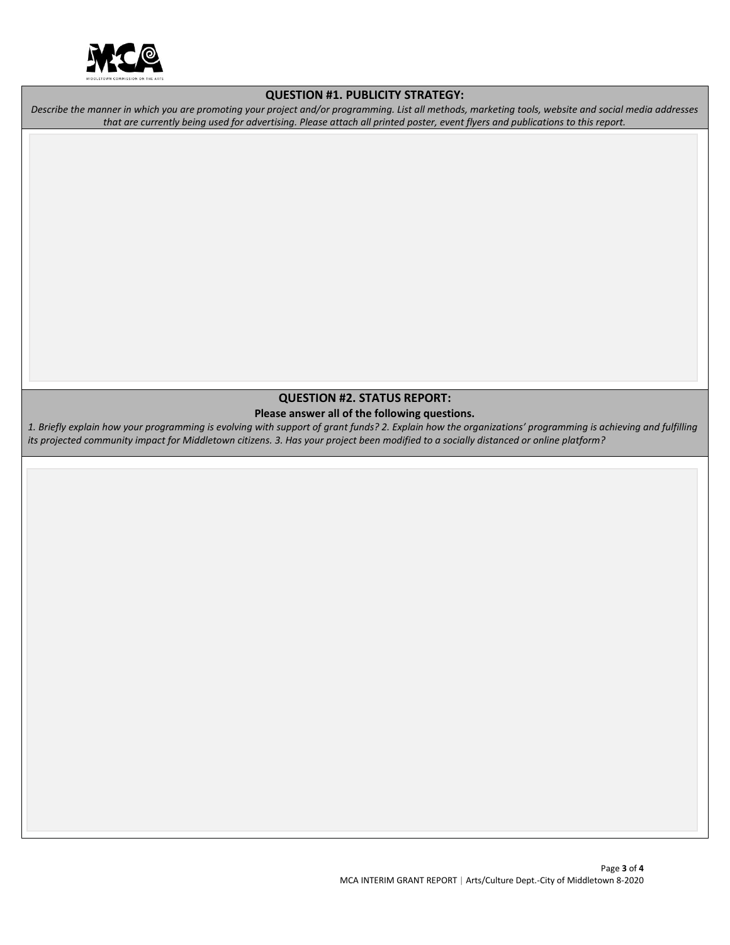

## **QUESTION #1. PUBLICITY STRATEGY:**

*Describe the manner in which you are promoting your project and/or programming. List all methods, marketing tools, website and social media addresses that are currently being used for advertising. Please attach all printed poster, event flyers and publications to this report.*

## **QUESTION #2. STATUS REPORT: Please answer all of the following questions.**

*1. Briefly explain how your programming is evolving with support of grant funds? 2. Explain how the organizations' programming is achieving and fulfilling its projected community impact for Middletown citizens. 3. Has your project been modified to a socially distanced or online platform?*